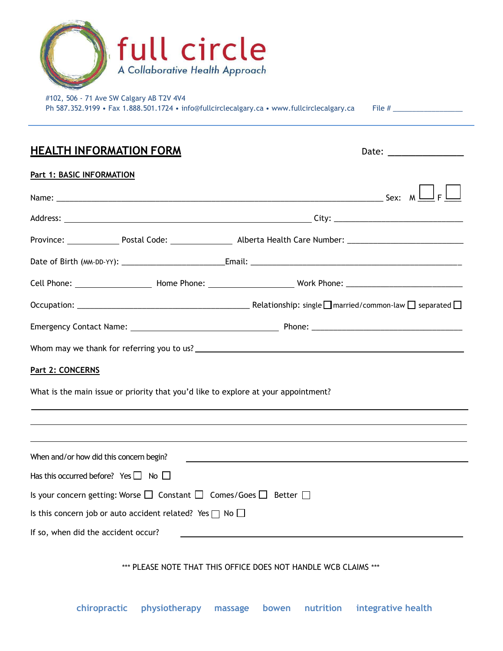

#102, 506 - 71 Ave SW Calgary AB T2V 4V4 Ph 587.352.9199 • Fax 1.888.501.1724 • [info@fullcirclecalgary.ca](mailto:info@fullcirclecalgary.ca) • [www.fullcirclecalgary.ca](http://www.fullcirclecalgary.ca/) File # \_\_\_\_\_\_\_\_\_\_\_

| <u>HEALTH INFORMATION FORM</u>                                                                    |                                                                                                                       |
|---------------------------------------------------------------------------------------------------|-----------------------------------------------------------------------------------------------------------------------|
| <b>Part 1: BASIC INFORMATION</b>                                                                  |                                                                                                                       |
|                                                                                                   |                                                                                                                       |
|                                                                                                   |                                                                                                                       |
|                                                                                                   |                                                                                                                       |
|                                                                                                   |                                                                                                                       |
|                                                                                                   |                                                                                                                       |
|                                                                                                   |                                                                                                                       |
|                                                                                                   |                                                                                                                       |
|                                                                                                   |                                                                                                                       |
| Part 2: CONCERNS                                                                                  |                                                                                                                       |
| What is the main issue or priority that you'd like to explore at your appointment?                |                                                                                                                       |
|                                                                                                   |                                                                                                                       |
|                                                                                                   |                                                                                                                       |
| When and/or how did this concern begin?                                                           | <u> 1989 - Johann Stein, marwolaethau a bhann an t-Amhain ann an t-Amhain an t-Amhain an t-Amhain an t-Amhain an </u> |
| Has this occurred before? Yes $\Box$ No $\Box$                                                    |                                                                                                                       |
| Is your concern getting: Worse $\square$ Constant $\square$ Comes/Goes $\square$ Better $\square$ |                                                                                                                       |
| Is this concern job or auto accident related? Yes $\Box$ No $\Box$                                |                                                                                                                       |
| If so, when did the accident occur?                                                               |                                                                                                                       |
|                                                                                                   | *** PLEASE NOTE THAT THIS OFFICE DOES NOT HANDLE WCB CLAIMS ***                                                       |

**chiropractic physiotherapy massage bowen nutrition integrative health**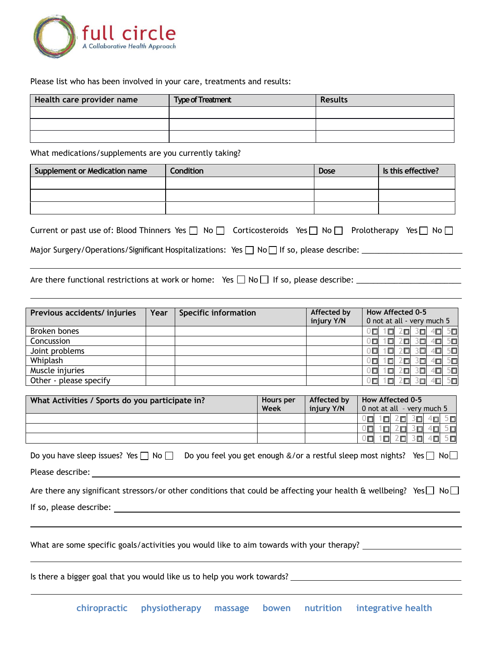

Please list who has been involved in your care, treatments and results:

| Health care provider name | <b>Type of Treatment</b><br>Results |  |  |
|---------------------------|-------------------------------------|--|--|
|                           |                                     |  |  |
|                           |                                     |  |  |
|                           |                                     |  |  |

What medications/supplements are you currently taking?

| Supplement or Medication name                                                                                                  | <b>Condition</b> | Dose | Is this effective? |  |  |  |
|--------------------------------------------------------------------------------------------------------------------------------|------------------|------|--------------------|--|--|--|
|                                                                                                                                |                  |      |                    |  |  |  |
|                                                                                                                                |                  |      |                    |  |  |  |
|                                                                                                                                |                  |      |                    |  |  |  |
| Current or past use of: Blood Thinners Yes $\Box$ No $\Box$ Corticosteroids Yes $\Box$ No $\Box$ Prolotherapy<br>Yes l<br>No L |                  |      |                    |  |  |  |

| Carrent or past ase on blood minimers its proper in the productional its private productably its private prope |  |  |
|----------------------------------------------------------------------------------------------------------------|--|--|
|                                                                                                                |  |  |
| Major Surgery/Operations/Significant Hospitalizations: Yes $\Box$ No $\Box$ If so, please describe:            |  |  |

Are there functional restrictions at work or home: Yes No If so, please describe: \_\_\_\_\_\_\_\_\_\_\_\_\_\_\_\_\_\_\_\_\_\_\_\_\_

| Previous accidents/ injuries | Year | <b>Specific information</b> | Affected by | How Affected 0-5 |        |    |                            |    |         |
|------------------------------|------|-----------------------------|-------------|------------------|--------|----|----------------------------|----|---------|
|                              |      |                             | injury Y/N  |                  |        |    | 0 not at all - very much 5 |    |         |
| Broken bones                 |      |                             |             |                  | П      | 戶  | ۱Ξ.                        | ١o | 50      |
| Concussion                   |      |                             |             |                  | 口      | 戸  | ⋐                          |    | 50      |
| Joint problems               |      |                             |             |                  | о      | 'n | 30                         | 口  | 5回      |
| Whiplash                     |      |                             |             |                  | οн     | П  | ロ                          |    | 50      |
| Muscle injuries              |      |                             |             |                  | $\Box$ | п  | 30 I                       |    | 50      |
| Other - please specify       |      |                             |             |                  | ⊡      | п  | 归                          |    | $5\Box$ |

| What Activities / Sports do you participate in? | Hours per | Affected by | How Affected 0-5           |                               |     |         |
|-------------------------------------------------|-----------|-------------|----------------------------|-------------------------------|-----|---------|
|                                                 | Week      | injury Y/N  | 0 not at all - very much 5 |                               |     |         |
|                                                 |           |             | ы                          | $\Omega$ $\blacksquare$<br>3⊡ | ٠o  | 5面      |
|                                                 |           |             | $\Box$<br>п                |                               | `O  | $5\Box$ |
|                                                 |           |             | $\Box$<br>□                | 3回                            | 401 | $5\Box$ |

|                  | Do you have sleep issues? Yes $\Box$ No $\Box$ Do you feel you get enough &/or a restful sleep most nights? Yes $\Box$ No $\Box$ |  |
|------------------|----------------------------------------------------------------------------------------------------------------------------------|--|
| Please describe: |                                                                                                                                  |  |

| Are there any significant stressors/or other conditions that could be affecting your health & wellbeing? Yes $\Box$ No $\Box$ |  |
|-------------------------------------------------------------------------------------------------------------------------------|--|
| If so, please describe:                                                                                                       |  |

What are some specific goals/activities you would like to aim towards with your therapy?

Is there a bigger goal that you would like us to help you work towards?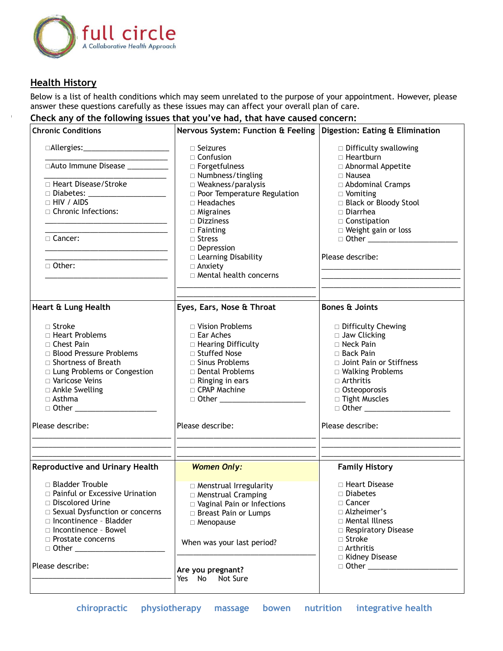

## **Health History**

Below is a list of health conditions which may seem unrelated to the purpose of your appointment. However, please answer these questions carefully as these issues may can affect your overall plan of care.

## **Check any of the following issues that you've had, that have caused concern:**

| <b>Chronic Conditions</b>                                                                                                                                                                                                            | Nervous System: Function & Feeling   Digestion: Eating & Elimination |                                                                    |
|--------------------------------------------------------------------------------------------------------------------------------------------------------------------------------------------------------------------------------------|----------------------------------------------------------------------|--------------------------------------------------------------------|
| □Allergies:_________________________<br>□Auto Immune Disease __________                                                                                                                                                              | $\Box$ Seizures<br>$\Box$ Confusion<br>$\Box$ Forgetfulness          | $\Box$ Difficulty swallowing<br>□ Heartburn<br>□ Abnormal Appetite |
|                                                                                                                                                                                                                                      | $\Box$ Numbness/tingling                                             | $\Box$ Nausea                                                      |
| □ Heart Disease/Stroke                                                                                                                                                                                                               | $\Box$ Weakness/paralysis                                            | □ Abdominal Cramps                                                 |
| □ Diabetes: ______________________                                                                                                                                                                                                   | <b>D</b> Poor Temperature Regulation                                 | $\Box$ Vomiting                                                    |
| $\Box$ HIV / AIDS                                                                                                                                                                                                                    | $\Box$ Headaches                                                     | □ Black or Bloody Stool                                            |
| □ Chronic Infections:                                                                                                                                                                                                                | $\Box$ Migraines                                                     | $\Box$ Diarrhea                                                    |
|                                                                                                                                                                                                                                      | $\Box$ Dizziness                                                     | $\Box$ Constipation                                                |
| <u> 1980 - Johann Harry Harry Harry Harry Harry Harry Harry Harry Harry Harry Harry Harry Harry Harry Harry Harry Harry Harry Harry Harry Harry Harry Harry Harry Harry Harry Harry Harry Harry Harry Harry Harry Harry Harry Ha</u> | $\Box$ Fainting                                                      | □ Weight gain or loss                                              |
| $\sqcap$ Cancer:                                                                                                                                                                                                                     | $\Box$ Stress                                                        |                                                                    |
| <u> 1989 - Johann Harry Harry Harry Harry Harry Harry Harry Harry Harry Harry Harry Harry Harry Harry Harry Harry Harry Harry Harry Harry Harry Harry Harry Harry Harry Harry Harry Harry Harry Harry Harry Harry Harry Harry Ha</u> | $\Box$ Depression                                                    |                                                                    |
| <u> 1989 - Johann John Stone, market fan it ferstjer fan it ferstjer fan it ferstjer fan it ferstjer fan it fers</u>                                                                                                                 | □ Learning Disability                                                | Please describe:                                                   |
| □ Other:                                                                                                                                                                                                                             | $\Box$ Anxiety                                                       | <u> 1989 - Johann Barn, mars eta bainar eta i</u>                  |
|                                                                                                                                                                                                                                      | □ Mental health concerns                                             |                                                                    |
| Heart & Lung Health                                                                                                                                                                                                                  | Eyes, Ears, Nose & Throat                                            | <b>Bones &amp; Joints</b>                                          |
|                                                                                                                                                                                                                                      |                                                                      |                                                                    |
| $\sqcap$ Stroke                                                                                                                                                                                                                      | □ Vision Problems                                                    | □ Difficulty Chewing                                               |
| □ Heart Problems                                                                                                                                                                                                                     | $\Box$ Ear Aches                                                     | $\Box$ Jaw Clicking                                                |
| $\Box$ Chest Pain                                                                                                                                                                                                                    | □ Hearing Difficulty                                                 | □ Neck Pain                                                        |
| □ Blood Pressure Problems                                                                                                                                                                                                            | □ Stuffed Nose                                                       | $\Box$ Back Pain                                                   |
| □ Shortness of Breath                                                                                                                                                                                                                | $\Box$ Sinus Problems                                                | □ Joint Pain or Stiffness                                          |
| □ Lung Problems or Congestion                                                                                                                                                                                                        | □ Dental Problems                                                    | $\Box$ Walking Problems                                            |
| □ Varicose Veins                                                                                                                                                                                                                     | $\Box$ Ringing in ears                                               | $\Box$ Arthritis                                                   |
| □ Ankle Swelling                                                                                                                                                                                                                     | $\Box$ CPAP Machine                                                  | $\Box$ Osteoporosis                                                |
| $\Box$ Asthma                                                                                                                                                                                                                        | □ Other ________________________                                     | □ Tight Muscles                                                    |
| □ Other _________________                                                                                                                                                                                                            |                                                                      |                                                                    |
| Please describe:                                                                                                                                                                                                                     | Please describe:                                                     | Please describe:                                                   |
|                                                                                                                                                                                                                                      |                                                                      |                                                                    |
| <b>Reproductive and Urinary Health</b>                                                                                                                                                                                               | <b>Women Only:</b>                                                   | <b>Family History</b>                                              |
| $\Box$ Bladder Trouble                                                                                                                                                                                                               | $\Box$ Menstrual Irregularity                                        | □ Heart Disease                                                    |
| □ Painful or Excessive Urination                                                                                                                                                                                                     | $\Box$ Menstrual Cramping                                            | □ Diabetes                                                         |
| $\Box$ Discolored Urine                                                                                                                                                                                                              | □ Vaginal Pain or Infections                                         | □ Cancer                                                           |
| Sexual Dysfunction or concerns                                                                                                                                                                                                       | □ Breast Pain or Lumps                                               | $\Box$ Alzheimer's                                                 |
| □ Incontinence - Bladder                                                                                                                                                                                                             | □ Menopause                                                          | □ Mental Illness                                                   |
| □ Incontinence - Bowel                                                                                                                                                                                                               |                                                                      | □ Respiratory Disease                                              |
| $\Box$ Prostate concerns                                                                                                                                                                                                             | When was your last period?                                           | $\Box$ Stroke                                                      |
| $\Box$ Other                                                                                                                                                                                                                         |                                                                      | $\Box$ Arthritis                                                   |
|                                                                                                                                                                                                                                      |                                                                      | □ Kidney Disease                                                   |
| Please describe:                                                                                                                                                                                                                     | Are you pregnant?                                                    |                                                                    |
|                                                                                                                                                                                                                                      | Yes No Not Sure                                                      |                                                                    |
|                                                                                                                                                                                                                                      |                                                                      |                                                                    |